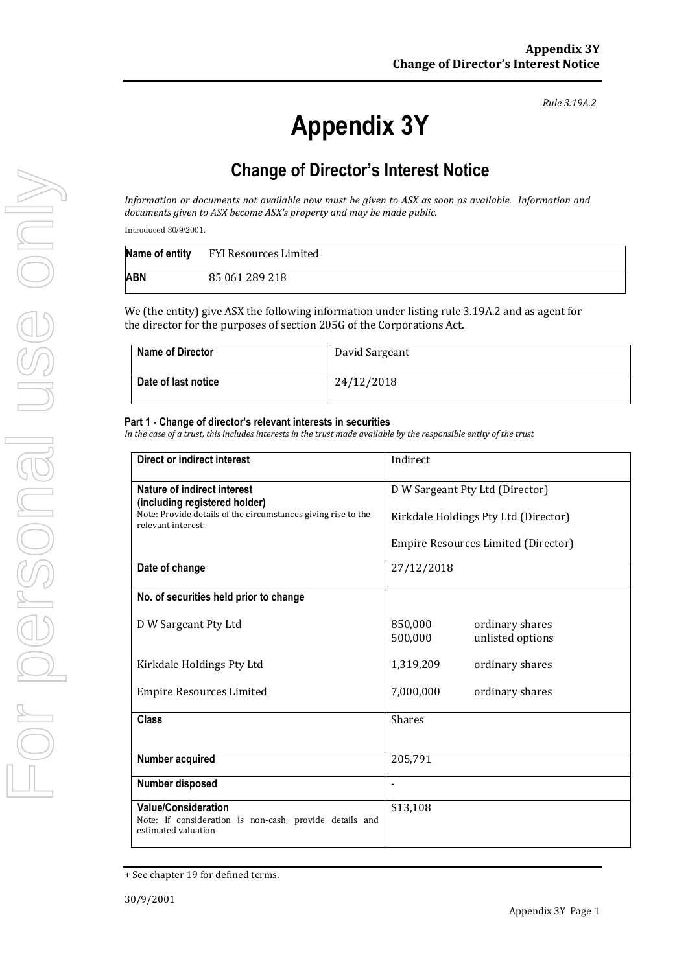*Rule 3.19A.2*

## **Change of Director's Interest Notice**

*Information or documents not available now must be given to ASX as soon as available. Information and documents given to ASX become ASX's property and may be made public.*

Introduced 30/9/2001.

|     | Name of entity FYI Resources Limited |
|-----|--------------------------------------|
| ABN | 85 061 289 218                       |

We (the entity) give ASX the following information under listing rule 3.19A.2 and as agent for the director for the purposes of section 205G of the Corporations Act.

| <b>Name of Director</b> | David Sargeant |
|-------------------------|----------------|
| Date of last notice     | 24/12/2018     |

## **Part 1 - Change of director's relevant interests in securities**

*In the case of a trust, this includes interests in the trust made available by the responsible entity of the trust*

| <b>Direct or indirect interest</b>                                                                    | Indirect                                                  |  |
|-------------------------------------------------------------------------------------------------------|-----------------------------------------------------------|--|
| Nature of indirect interest<br>(including registered holder)                                          | D W Sargeant Pty Ltd (Director)                           |  |
| Note: Provide details of the circumstances giving rise to the<br>relevant interest                    | Kirkdale Holdings Pty Ltd (Director)                      |  |
|                                                                                                       | Empire Resources Limited (Director)                       |  |
| Date of change                                                                                        | 27/12/2018                                                |  |
| No. of securities held prior to change                                                                |                                                           |  |
| D W Sargeant Pty Ltd                                                                                  | 850,000<br>ordinary shares<br>500,000<br>unlisted options |  |
| Kirkdale Holdings Pty Ltd                                                                             | 1,319,209<br>ordinary shares                              |  |
| <b>Empire Resources Limited</b>                                                                       | 7,000,000<br>ordinary shares                              |  |
| <b>Class</b>                                                                                          | <b>Shares</b>                                             |  |
| Number acquired                                                                                       | 205,791                                                   |  |
| Number disposed                                                                                       |                                                           |  |
| Value/Consideration<br>Note: If consideration is non-cash, provide details and<br>estimated valuation | \$13,108                                                  |  |

<sup>+</sup> See chapter 19 for defined terms.

**Appendix 3Y**